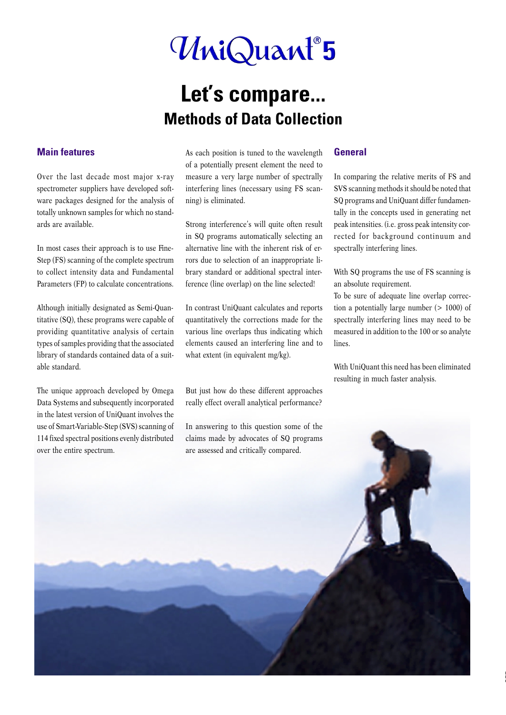# UniQuant<sup>®</sup>5

## **Let's compare... Methods of Data Collection**

#### **Main features**

Over the last decade most major x-ray spectrometer suppliers have developed software packages designed for the analysis of totally unknown samples for which no standards are available.

In most cases their approach is to use Fine-Step (FS) scanning of the complete spectrum to collect intensity data and Fundamental Parameters (FP) to calculate concentrations.

Although initially designated as Semi-Quantitative (SQ), these programs were capable of providing quantitative analysis of certain types of samples providing that the associated library of standards contained data of a suitable standard.

The unique approach developed by Omega Data Systems and subsequently incorporated in the latest version of UniQuant involves the use of Smart-Variable-Step (SVS) scanning of 114 fixed spectral positions evenly distributed over the entire spectrum.

As each position is tuned to the wavelength of a potentially present element the need to measure a very large number of spectrally interfering lines (necessary using FS scanning) is eliminated.

Strong interference's will quite often result in SQ programs automatically selecting an alternative line with the inherent risk of errors due to selection of an inappropriate library standard or additional spectral interference (line overlap) on the line selected!

In contrast UniQuant calculates and reports quantitatively the corrections made for the various line overlaps thus indicating which elements caused an interfering line and to what extent (in equivalent mg/kg).

But just how do these different approaches really effect overall analytical performance?

In answering to this question some of the

#### **General**

In comparing the relative merits of FS and SVS scanning methods it should be noted that SQ programs and UniQuant differ fundamentally in the concepts used in generating net peak intensities. (i.e. gross peak intensity corrected for background continuum and spectrally interfering lines.

With SQ programs the use of FS scanning is an absolute requirement.

To be sure of adequate line overlap correction a potentially large number (> 1000) of spectrally interfering lines may need to be measured in addition to the 100 or so analyte lines.

With UniQuant this need has been eliminated resulting in much faster analysis.